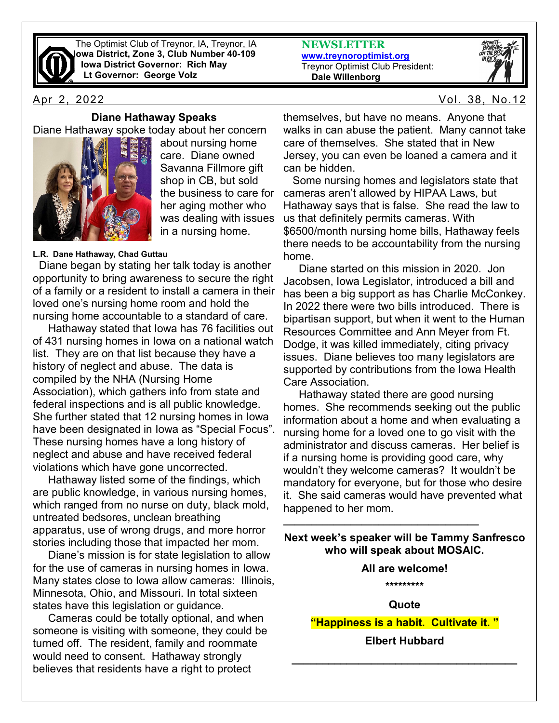

The Optimist Club of Treynor, IA, Treynor, IA **Iowa District, Zone 3, Club Number 40-109 Iowa District Governor: Rich May Lt Governor: George Volz**

#### **Diane Hathaway Speaks**

Diane Hathaway spoke today about her concern



about nursing home care. Diane owned Savanna Fillmore gift shop in CB, but sold the business to care for her aging mother who was dealing with issues in a nursing home.

#### **L.R. Dane Hathaway, Chad Guttau**

 Diane began by stating her talk today is another opportunity to bring awareness to secure the right of a family or a resident to install a camera in their loved one's nursing home room and hold the nursing home accountable to a standard of care.

 Hathaway stated that Iowa has 76 facilities out of 431 nursing homes in Iowa on a national watch list. They are on that list because they have a history of neglect and abuse. The data is compiled by the NHA (Nursing Home Association), which gathers info from state and federal inspections and is all public knowledge. She further stated that 12 nursing homes in Iowa have been designated in Iowa as "Special Focus". These nursing homes have a long history of neglect and abuse and have received federal violations which have gone uncorrected.

 Hathaway listed some of the findings, which are public knowledge, in various nursing homes, which ranged from no nurse on duty, black mold, untreated bedsores, unclean breathing apparatus, use of wrong drugs, and more horror stories including those that impacted her mom.

 Diane's mission is for state legislation to allow for the use of cameras in nursing homes in Iowa. Many states close to Iowa allow cameras: Illinois, Minnesota, Ohio, and Missouri. In total sixteen states have this legislation or guidance.

 Cameras could be totally optional, and when someone is visiting with someone, they could be turned off. The resident, family and roommate would need to consent. Hathaway strongly believes that residents have a right to protect

**NEWSLETTER [www.treynoroptimist.org](http://www.treynoroptimist.org/)** Treynor Optimist Club President:  **Dale Willenborg**



Apr 2, 2022 Vol. 38, No.12

themselves, but have no means. Anyone that walks in can abuse the patient. Many cannot take care of themselves. She stated that in New Jersey, you can even be loaned a camera and it can be hidden.

 Some nursing homes and legislators state that cameras aren't allowed by HIPAA Laws, but Hathaway says that is false. She read the law to us that definitely permits cameras. With \$6500/month nursing home bills, Hathaway feels there needs to be accountability from the nursing home.

 Diane started on this mission in 2020. Jon Jacobsen, Iowa Legislator, introduced a bill and has been a big support as has Charlie McConkey. In 2022 there were two bills introduced. There is bipartisan support, but when it went to the Human Resources Committee and Ann Meyer from Ft. Dodge, it was killed immediately, citing privacy issues. Diane believes too many legislators are supported by contributions from the Iowa Health Care Association.

 Hathaway stated there are good nursing homes. She recommends seeking out the public information about a home and when evaluating a nursing home for a loved one to go visit with the administrator and discuss cameras. Her belief is if a nursing home is providing good care, why wouldn't they welcome cameras? It wouldn't be mandatory for everyone, but for those who desire it. She said cameras would have prevented what happened to her mom.

**Next week's speaker will be Tammy Sanfresco who will speak about MOSAIC.**

**\_\_\_\_\_\_\_\_\_\_\_\_\_\_\_\_\_\_\_\_\_\_\_\_\_\_\_\_\_\_\_\_\_\_\_**

#### **All are welcome!**

**\*\*\*\*\*\*\*\*\***

**Quote**

**"Happiness is a habit. Cultivate it. " Elbert Hubbard**

**\_\_\_\_\_\_\_\_\_\_\_\_\_\_\_\_\_\_\_\_\_\_\_\_\_\_\_\_\_\_\_\_\_\_\_\_\_**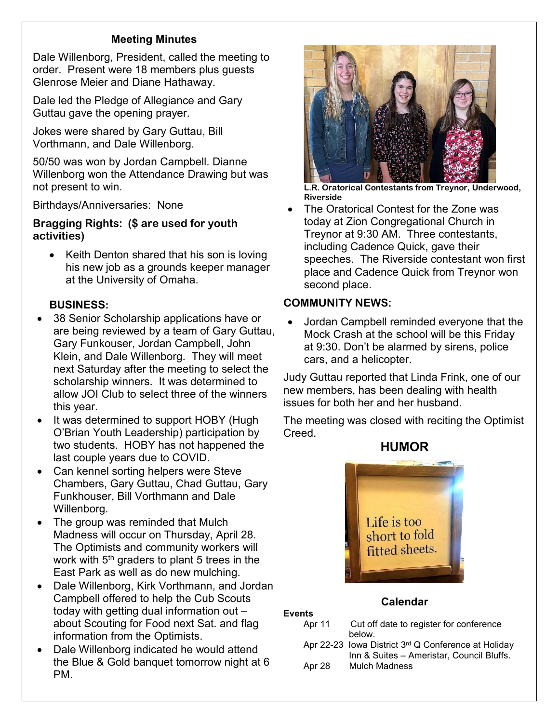# **Meeting Minutes**

Dale Willenborg, President, called the meeting to order. Present were 18 members plus guests Glenrose Meier and Diane Hathaway.

Dale led the Pledge of Allegiance and Gary Guttau gave the opening prayer.

Jokes were shared by Gary Guttau, Bill Vorthmann, and Dale Willenborg.

50/50 was won by Jordan Campbell. Dianne Willenborg won the Attendance Drawing but was not present to win.

Birthdays/Anniversaries: None

**Bragging Rights: (\$ are used for youth activities)**

Keith Denton shared that his son is loving his new job as a grounds keeper manager at the University of Omaha.

# **BUSINESS:**

- 38 Senior Scholarship applications have or are being reviewed by a team of Gary Guttau, Gary Funkouser, Jordan Campbell, John Klein, and Dale Willenborg. They will meet next Saturday after the meeting to select the scholarship winners. It was determined to allow JOI Club to select three of the winners this year.
- It was determined to support HOBY (Hugh O'Brian Youth Leadership) participation by two students. HOBY has not happened the last couple years due to COVID.
- Can kennel sorting helpers were Steve Chambers, Gary Guttau, Chad Guttau, Gary Funkhouser, Bill Vorthmann and Dale Willenborg.
- The group was reminded that Mulch Madness will occur on Thursday, April 28. The Optimists and community workers will work with  $5<sup>th</sup>$  graders to plant 5 trees in the East Park as well as do new mulching.
- Dale Willenborg, Kirk Vorthmann, and Jordan Campbell offered to help the Cub Scouts today with getting dual information out – about Scouting for Food next Sat. and flag information from the Optimists.
- Dale Willenborg indicated he would attend the Blue & Gold banquet tomorrow night at 6 PM.



**L.R. Oratorical Contestants from Treynor, Underwood, Riverside**

• The Oratorical Contest for the Zone was today at Zion Congregational Church in Treynor at 9:30 AM. Three contestants, including Cadence Quick, gave their speeches. The Riverside contestant won first place and Cadence Quick from Treynor won second place.

# **COMMUNITY NEWS:**

**Events**

• Jordan Campbell reminded everyone that the Mock Crash at the school will be this Friday at 9:30. Don't be alarmed by sirens, police cars, and a helicopter.

Judy Guttau reported that Linda Frink, one of our new members, has been dealing with health issues for both her and her husband.

The meeting was closed with reciting the Optimist Creed.



### **Calendar**

- Apr 11 Cut off date to register for conference below. Apr 22-23 Iowa District 3rd Q Conference at Holiday
- Inn & Suites Ameristar, Council Bluffs. Apr 28 Mulch Madness